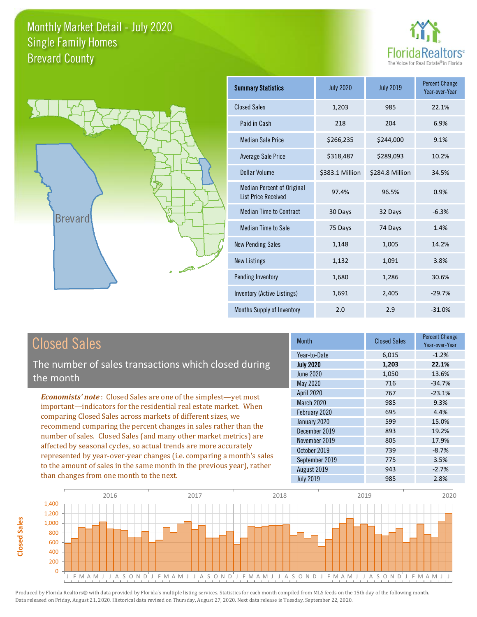



| Summary Statistics                                              | <b>July 2020</b> | <b>July 2019</b> | <b>Percent Change</b><br>Year-over-Year |
|-----------------------------------------------------------------|------------------|------------------|-----------------------------------------|
| <b>Closed Sales</b>                                             | 1,203            | 985              | 22.1%                                   |
| Paid in Cash                                                    | 218              | 204              | 6.9%                                    |
| <b>Median Sale Price</b>                                        | \$266,235        | \$244,000        | 9.1%                                    |
| Average Sale Price                                              | \$318,487        | \$289,093        | 10.2%                                   |
| Dollar Volume                                                   | \$383.1 Million  | \$284.8 Million  | 34.5%                                   |
| <b>Median Percent of Original</b><br><b>List Price Received</b> | 97.4%            | 96.5%            | 0.9%                                    |
| <b>Median Time to Contract</b>                                  | 30 Days          | 32 Days          | $-6.3%$                                 |
| <b>Median Time to Sale</b>                                      | 75 Days          | 74 Days          | 1.4%                                    |
| <b>New Pending Sales</b>                                        | 1,148            | 1,005            | 14.2%                                   |
| <b>New Listings</b>                                             | 1,132            | 1,091            | 3.8%                                    |
| Pending Inventory                                               | 1,680            | 1,286            | 30.6%                                   |
| Inventory (Active Listings)                                     | 1,691            | 2,405            | $-29.7%$                                |
| Months Supply of Inventory                                      | 2.0              | 2.9              | $-31.0%$                                |

The number of sales transactions which closed during the month

*Economists' note* : Closed Sales are one of the simplest—yet most important—indicators for the residential real estate market. When comparing Closed Sales across markets of different sizes, we recommend comparing the percent changes in sales rather than the number of sales. Closed Sales (and many other market metrics) are affected by seasonal cycles, so actual trends are more accurately represented by year-over-year changes (i.e. comparing a month's sales to the amount of sales in the same month in the previous year), rather than changes from one month to the next.

| <b>Month</b>      | <b>Closed Sales</b> | <b>Percent Change</b><br>Year-over-Year |
|-------------------|---------------------|-----------------------------------------|
| Year-to-Date      | 6,015               | $-1.2%$                                 |
| <b>July 2020</b>  | 1,203               | 22.1%                                   |
| June 2020         | 1,050               | 13.6%                                   |
| May 2020          | 716                 | $-34.7%$                                |
| <b>April 2020</b> | 767                 | $-23.1%$                                |
| March 2020        | 985                 | 9.3%                                    |
| February 2020     | 695                 | 4.4%                                    |
| January 2020      | 599                 | 15.0%                                   |
| December 2019     | 893                 | 19.2%                                   |
| November 2019     | 805                 | 17.9%                                   |
| October 2019      | 739                 | $-8.7%$                                 |
| September 2019    | 775                 | 3.5%                                    |
| August 2019       | 943                 | $-2.7%$                                 |
| <b>July 2019</b>  | 985                 | 2.8%                                    |

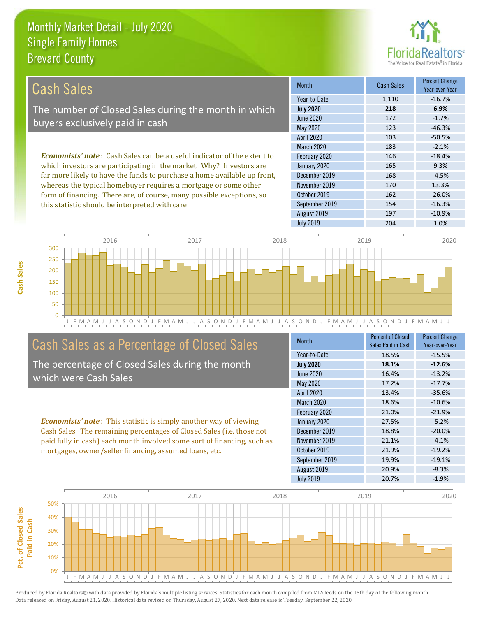this statistic should be interpreted with care.



154 -16.3%

| Cash Sales                                                                     | <b>Month</b>      | <b>Cash Sales</b> | <b>Percent Change</b><br>Year-over-Year |
|--------------------------------------------------------------------------------|-------------------|-------------------|-----------------------------------------|
|                                                                                | Year-to-Date      | 1,110             | $-16.7%$                                |
| The number of Closed Sales during the month in which                           | <b>July 2020</b>  | 218               | 6.9%                                    |
| buyers exclusively paid in cash                                                | June 2020         | 172               | $-1.7%$                                 |
|                                                                                | May 2020          | 123               | $-46.3%$                                |
|                                                                                | <b>April 2020</b> | 103               | $-50.5%$                                |
|                                                                                | <b>March 2020</b> | 183               | $-2.1%$                                 |
| <b>Economists' note:</b> Cash Sales can be a useful indicator of the extent to | February 2020     | 146               | $-18.4%$                                |
| which investors are participating in the market. Why? Investors are            | January 2020      | 165               | 9.3%                                    |
| far more likely to have the funds to purchase a home available up front,       | December 2019     | 168               | $-4.5%$                                 |
| whereas the typical homebuyer requires a mortgage or some other                | November 2019     | 170               | 13.3%                                   |
| form of financing. There are, of course, many possible exceptions, so          | October 2019      | 162               | $-26.0%$                                |



September 2019

# Cash Sales as a Percentage of Closed Sales

The percentage of Closed Sales during the month which were Cash Sales

*Economists' note* : This statistic is simply another way of viewing Cash Sales. The remaining percentages of Closed Sales (i.e. those not paid fully in cash) each month involved some sort of financing, such as mortgages, owner/seller financing, assumed loans, etc.

| Month            | <b>Percent of Closed</b><br>Sales Paid in Cash | <b>Percent Change</b><br>Year-over-Year |
|------------------|------------------------------------------------|-----------------------------------------|
| Year-to-Date     | 18.5%                                          | $-15.5%$                                |
| <b>July 2020</b> | 18.1%                                          | $-12.6%$                                |
| <b>June 2020</b> | 16.4%                                          | $-13.2%$                                |
| <b>May 2020</b>  | 17.2%                                          | $-17.7%$                                |
| April 2020       | 13.4%                                          | $-35.6%$                                |
| March 2020       | 18.6%                                          | $-10.6%$                                |
| February 2020    | 21.0%                                          | $-21.9%$                                |
| January 2020     | 27.5%                                          | $-5.2%$                                 |
| December 2019    | 18.8%                                          | $-20.0%$                                |
| November 2019    | 21.1%                                          | $-4.1%$                                 |
| October 2019     | 21.9%                                          | $-19.2%$                                |
| September 2019   | 19.9%                                          | $-19.1%$                                |
| August 2019      | 20.9%                                          | $-8.3%$                                 |
| <b>July 2019</b> | 20.7%                                          | $-1.9%$                                 |

August 2019 197 197 -10.9%

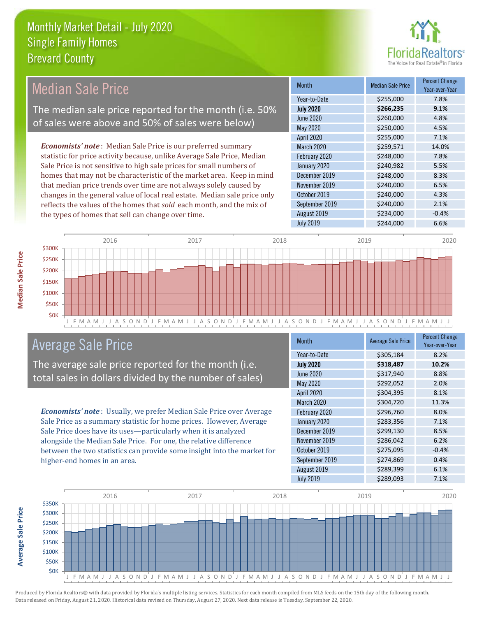

#### Month Median Sale Price Percent Change Year-over-Year July 2020 **\$266,235 9.1%** Year-to-Date \$255,000 7.8% December 2019 \$248,000 \$248,000 June 2020 **\$260,000** \$260,000 4.8% May 2020 \$250,000 \$250,000 4.5% February 2020 **\$248,000** \$248,000 7.8% January 2020 \$240,982 5.5% April 2020 \$255,000 7.1% March 2020 \$259,571 14.0% November 2019 **\$240,000** 6.5% October 2019 **\$240,000** \$240,000 4.3% September 2019 **\$240,000** 2.1% August 2019 **\$234,000** -0.4% July 2019 **\$244,000 6.6%** *Economists' note* : Median Sale Price is our preferred summary statistic for price activity because, unlike Average Sale Price, Median Sale Price is not sensitive to high sale prices for small numbers of homes that may not be characteristic of the market area. Keep in mind that median price trends over time are not always solely caused by changes in the general value of local real estate. Median sale price only reflects the values of the homes that *sold* each month, and the mix of the types of homes that sell can change over time. Median Sale Price The median sale price reported for the month (i.e. 50% of sales were above and 50% of sales were below)



# Average Sale Price

The average sale price reported for the month (i.e. total sales in dollars divided by the number of sales)

*Economists' note* : Usually, we prefer Median Sale Price over Average Sale Price as a summary statistic for home prices. However, Average Sale Price does have its uses—particularly when it is analyzed alongside the Median Sale Price. For one, the relative difference between the two statistics can provide some insight into the market for higher-end homes in an area.

| <b>Month</b>     | <b>Average Sale Price</b> | <b>Percent Change</b><br>Year-over-Year |
|------------------|---------------------------|-----------------------------------------|
| Year-to-Date     | \$305,184                 | 8.2%                                    |
| <b>July 2020</b> | \$318,487                 | 10.2%                                   |
| <b>June 2020</b> | \$317,940                 | 8.8%                                    |
| <b>May 2020</b>  | \$292,052                 | 2.0%                                    |
| April 2020       | \$304,395                 | 8.1%                                    |
| March 2020       | \$304,720                 | 11.3%                                   |
| February 2020    | \$296,760                 | 8.0%                                    |
| January 2020     | \$283,356                 | 7.1%                                    |
| December 2019    | \$299,130                 | 8.5%                                    |
| November 2019    | \$286,042                 | 6.2%                                    |
| October 2019     | \$275,095                 | $-0.4%$                                 |
| September 2019   | \$274,869                 | 0.4%                                    |
| August 2019      | \$289,399                 | 6.1%                                    |
| <b>July 2019</b> | \$289,093                 | 7.1%                                    |

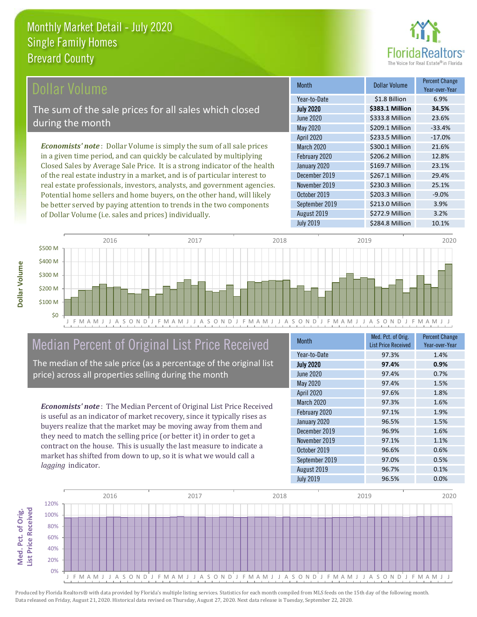

### ollar Volume

The sum of the sale prices for all sales which closed during the month

*Economists' note* : Dollar Volume is simply the sum of all sale prices in a given time period, and can quickly be calculated by multiplying Closed Sales by Average Sale Price. It is a strong indicator of the health of the real estate industry in a market, and is of particular interest to real estate professionals, investors, analysts, and government agencies. Potential home sellers and home buyers, on the other hand, will likely be better served by paying attention to trends in the two components of Dollar Volume (i.e. sales and prices) individually.

| <b>Month</b>      | Dollar Volume   | <b>Percent Change</b><br>Year-over-Year |
|-------------------|-----------------|-----------------------------------------|
| Year-to-Date      | \$1.8 Billion   | 6.9%                                    |
| <b>July 2020</b>  | \$383.1 Million | 34.5%                                   |
| <b>June 2020</b>  | \$333.8 Million | 23.6%                                   |
| <b>May 2020</b>   | \$209.1 Million | $-33.4%$                                |
| <b>April 2020</b> | \$233.5 Million | $-17.0%$                                |
| March 2020        | \$300.1 Million | 21.6%                                   |
| February 2020     | \$206.2 Million | 12.8%                                   |
| January 2020      | \$169.7 Million | 23.1%                                   |
| December 2019     | \$267.1 Million | 29.4%                                   |
| November 2019     | \$230.3 Million | 25.1%                                   |
| October 2019      | \$203.3 Million | $-9.0%$                                 |
| September 2019    | \$213.0 Million | 3.9%                                    |
| August 2019       | \$272.9 Million | 3.2%                                    |
| <b>July 2019</b>  | \$284.8 Million | 10.1%                                   |



# Median Percent of Original List Price Received

The median of the sale price (as a percentage of the original list price) across all properties selling during the month

*Economists' note* : The Median Percent of Original List Price Received is useful as an indicator of market recovery, since it typically rises as buyers realize that the market may be moving away from them and they need to match the selling price (or better it) in order to get a contract on the house. This is usually the last measure to indicate a market has shifted from down to up, so it is what we would call a *lagging* indicator.

| <b>Month</b>     | Med. Pct. of Orig.<br><b>List Price Received</b> | <b>Percent Change</b><br>Year-over-Year |
|------------------|--------------------------------------------------|-----------------------------------------|
| Year-to-Date     | 97.3%                                            | 1.4%                                    |
| <b>July 2020</b> | 97.4%                                            | 0.9%                                    |
| June 2020        | 97.4%                                            | 0.7%                                    |
| <b>May 2020</b>  | 97.4%                                            | 1.5%                                    |
| April 2020       | 97.6%                                            | 1.8%                                    |
| March 2020       | 97.3%                                            | 1.6%                                    |
| February 2020    | 97.1%                                            | 1.9%                                    |
| January 2020     | 96.5%                                            | 1.5%                                    |
| December 2019    | 96.9%                                            | 1.6%                                    |
| November 2019    | 97.1%                                            | 1.1%                                    |
| October 2019     | 96.6%                                            | 0.6%                                    |
| September 2019   | 97.0%                                            | 0.5%                                    |
| August 2019      | 96.7%                                            | 0.1%                                    |
| <b>July 2019</b> | 96.5%                                            | 0.0%                                    |

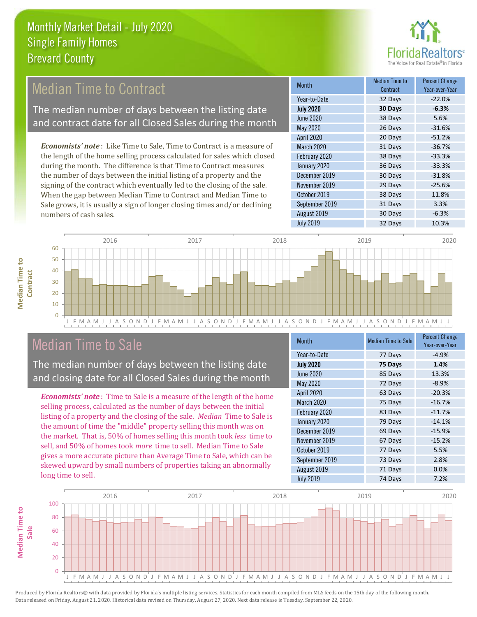

# Median Time to Contract

The median number of days between the listing date and contract date for all Closed Sales during the month

*Economists' note* : Like Time to Sale, Time to Contract is a measure of the length of the home selling process calculated for sales which closed during the month. The difference is that Time to Contract measures the number of days between the initial listing of a property and the signing of the contract which eventually led to the closing of the sale. When the gap between Median Time to Contract and Median Time to Sale grows, it is usually a sign of longer closing times and/or declining numbers of cash sales.

| <b>Month</b>      | Median Time to<br>Contract | <b>Percent Change</b><br>Year-over-Year |
|-------------------|----------------------------|-----------------------------------------|
| Year-to-Date      | 32 Days                    | $-22.0%$                                |
| <b>July 2020</b>  | 30 Days                    | $-6.3%$                                 |
| June 2020         | 38 Days                    | 5.6%                                    |
| <b>May 2020</b>   | 26 Days                    | $-31.6%$                                |
| <b>April 2020</b> | 20 Days                    | $-51.2%$                                |
| March 2020        | 31 Days                    | $-36.7%$                                |
| February 2020     | 38 Days                    | $-33.3%$                                |
| January 2020      | 36 Days                    | $-33.3%$                                |
| December 2019     | 30 Days                    | $-31.8%$                                |
| November 2019     | 29 Days                    | $-25.6%$                                |
| October 2019      | 38 Days                    | 11.8%                                   |
| September 2019    | 31 Days                    | 3.3%                                    |
| August 2019       | 30 Days                    | $-6.3%$                                 |
| <b>July 2019</b>  | 32 Days                    | 10.3%                                   |



### Median Time to Sale

**Median Time to Contract**

**Median Time to** 

The median number of days between the listing date and closing date for all Closed Sales during the month

*Economists' note* : Time to Sale is a measure of the length of the home selling process, calculated as the number of days between the initial listing of a property and the closing of the sale. *Median* Time to Sale is the amount of time the "middle" property selling this month was on the market. That is, 50% of homes selling this month took *less* time to sell, and 50% of homes took *more* time to sell. Median Time to Sale gives a more accurate picture than Average Time to Sale, which can be skewed upward by small numbers of properties taking an abnormally long time to sell.

| <b>Month</b>     | <b>Median Time to Sale</b> | <b>Percent Change</b><br>Year-over-Year |
|------------------|----------------------------|-----------------------------------------|
| Year-to-Date     | 77 Days                    | $-4.9%$                                 |
| <b>July 2020</b> | 75 Days                    | 1.4%                                    |
| <b>June 2020</b> | 85 Days                    | 13.3%                                   |
| <b>May 2020</b>  | 72 Days                    | $-8.9%$                                 |
| April 2020       | 63 Days                    | $-20.3%$                                |
| March 2020       | 75 Days                    | $-16.7%$                                |
| February 2020    | 83 Days                    | $-11.7%$                                |
| January 2020     | 79 Days                    | $-14.1%$                                |
| December 2019    | 69 Days                    | $-15.9%$                                |
| November 2019    | 67 Days                    | $-15.2%$                                |
| October 2019     | 77 Days                    | 5.5%                                    |
| September 2019   | 73 Days                    | 2.8%                                    |
| August 2019      | 71 Days                    | 0.0%                                    |
| <b>July 2019</b> | 74 Days                    | 7.2%                                    |

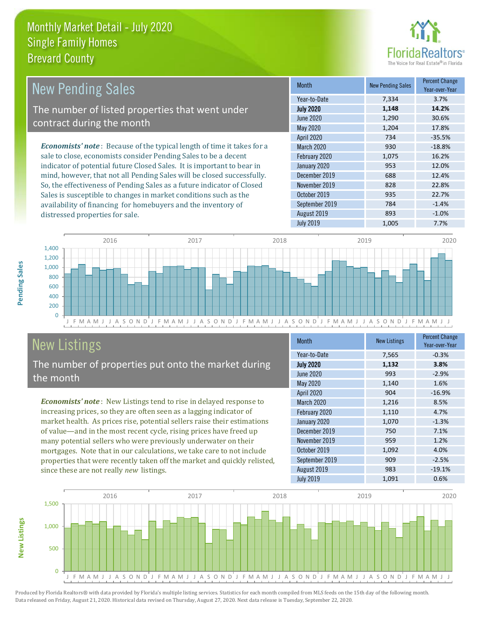distressed properties for sale.



| <b>New Pending Sales</b>                                                       | <b>Month</b>      | <b>New Pending Sales</b> | <b>Percent Change</b><br>Year-over-Year |
|--------------------------------------------------------------------------------|-------------------|--------------------------|-----------------------------------------|
|                                                                                | Year-to-Date      | 7,334                    | 3.7%                                    |
| The number of listed properties that went under                                | <b>July 2020</b>  | 1,148                    | 14.2%                                   |
| contract during the month                                                      | June 2020         | 1,290                    | 30.6%                                   |
|                                                                                | May 2020          | 1,204                    | 17.8%                                   |
|                                                                                | <b>April 2020</b> | 734                      | $-35.5%$                                |
| <b>Economists' note</b> : Because of the typical length of time it takes for a | March 2020        | 930                      | $-18.8%$                                |
| sale to close, economists consider Pending Sales to be a decent                | February 2020     | 1,075                    | 16.2%                                   |
| indicator of potential future Closed Sales. It is important to bear in         | January 2020      | 953                      | 12.0%                                   |
| mind, however, that not all Pending Sales will be closed successfully.         | December 2019     | 688                      | 12.4%                                   |
| So, the effectiveness of Pending Sales as a future indicator of Closed         | November 2019     | 828                      | 22.8%                                   |
| Sales is susceptible to changes in market conditions such as the               | October 2019      | 935                      | 22.7%                                   |



# New Listings

The number of properties put onto the market during the month

availability of financing for homebuyers and the inventory of

*Economists' note* : New Listings tend to rise in delayed response to increasing prices, so they are often seen as a lagging indicator of market health. As prices rise, potential sellers raise their estimations of value—and in the most recent cycle, rising prices have freed up many potential sellers who were previously underwater on their mortgages. Note that in our calculations, we take care to not include properties that were recently taken off the market and quickly relisted, since these are not really *new* listings.

| <b>Month</b>     | <b>New Listings</b> | <b>Percent Change</b><br>Year-over-Year |
|------------------|---------------------|-----------------------------------------|
| Year-to-Date     | 7,565               | $-0.3%$                                 |
| <b>July 2020</b> | 1,132               | 3.8%                                    |
| <b>June 2020</b> | 993                 | $-2.9%$                                 |
| <b>May 2020</b>  | 1,140               | 1.6%                                    |
| April 2020       | 904                 | $-16.9%$                                |
| March 2020       | 1,216               | 8.5%                                    |
| February 2020    | 1,110               | 4.7%                                    |
| January 2020     | 1,070               | $-1.3%$                                 |
| December 2019    | 750                 | 7.1%                                    |
| November 2019    | 959                 | 1.2%                                    |
| October 2019     | 1,092               | 4.0%                                    |
| September 2019   | 909                 | $-2.5%$                                 |
| August 2019      | 983                 | $-19.1%$                                |
| <b>July 2019</b> | 1,091               | 0.6%                                    |

September 2019 784 -1.4% August 2019 **893** -1.0% July 2019 1,005 7.7%



Produced by Florida Realtors® with data provided by Florida's multiple listing services. Statistics for each month compiled from MLS feeds on the 15th day of the following month. Data released on Friday, August 21, 2020. Historical data revised on Thursday, August 27, 2020. Next data release is Tuesday, September 22, 2020.

**New Listings**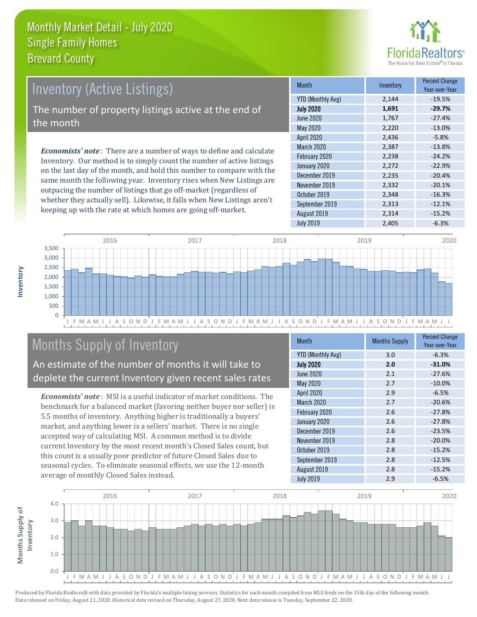

# Inventory (Active Listings)

The number of property listings active at the end of the month

*Economists' note* : There are a number of ways to define and calculate Inventory. Our method is to simply count the number of active listings on the last day of the month, and hold this number to compare with the same month the following year. Inventory rises when New Listings are outpacing the number of listings that go off-market (regardless of whether they actually sell). Likewise, it falls when New Listings aren't keeping up with the rate at which homes are going off-market.

| <b>Month</b>             | Inventory | <b>Percent Change</b><br>Year-over-Year |
|--------------------------|-----------|-----------------------------------------|
| <b>YTD (Monthly Avg)</b> | 2,144     | $-19.5%$                                |
| <b>July 2020</b>         | 1,691     | $-29.7%$                                |
| <b>June 2020</b>         | 1,767     | $-27.4%$                                |
| May 2020                 | 2,220     | $-13.0%$                                |
| <b>April 2020</b>        | 2,436     | $-5.8%$                                 |
| March 2020               | 2,387     | $-13.8%$                                |
| February 2020            | 2,238     | $-24.2%$                                |
| January 2020             | 2,272     | $-22.9%$                                |
| December 2019            | 2,235     | $-20.4%$                                |
| November 2019            | 2,332     | $-20.1%$                                |
| October 2019             | 2,348     | $-16.3%$                                |
| September 2019           | 2,313     | $-12.1%$                                |
| August 2019              | 2,314     | $-15.2%$                                |
| <b>July 2019</b>         | 2,405     | $-6.3%$                                 |



# Months Supply of Inventory

An estimate of the number of months it will take to deplete the current Inventory given recent sales rates

*Economists' note* : MSI is a useful indicator of market conditions. The benchmark for a balanced market (favoring neither buyer nor seller) is 5.5 months of inventory. Anything higher is traditionally a buyers' market, and anything lower is a sellers' market. There is no single accepted way of calculating MSI. A common method is to divide current Inventory by the most recent month's Closed Sales count, but this count is a usually poor predictor of future Closed Sales due to seasonal cycles. To eliminate seasonal effects, we use the 12-month average of monthly Closed Sales instead.

| <b>Month</b>             | <b>Months Supply</b> | <b>Percent Change</b><br>Year-over-Year |
|--------------------------|----------------------|-----------------------------------------|
| <b>YTD (Monthly Avg)</b> | 3.0                  | $-6.3%$                                 |
| <b>July 2020</b>         | 2.0                  | $-31.0%$                                |
| <b>June 2020</b>         | 2.1                  | $-27.6%$                                |
| <b>May 2020</b>          | 2.7                  | $-10.0%$                                |
| April 2020               | 2.9                  | $-6.5%$                                 |
| <b>March 2020</b>        | 2.7                  | $-20.6%$                                |
| February 2020            | 2.6                  | $-27.8%$                                |
| January 2020             | 2.6                  | $-27.8%$                                |
| December 2019            | 2.6                  | $-23.5%$                                |
| November 2019            | 2.8                  | $-20.0%$                                |
| October 2019             | 2.8                  | $-15.2%$                                |
| September 2019           | 2.8                  | $-12.5%$                                |
| August 2019              | 2.8                  | $-15.2%$                                |
| <b>July 2019</b>         | 2.9                  | $-6.5%$                                 |

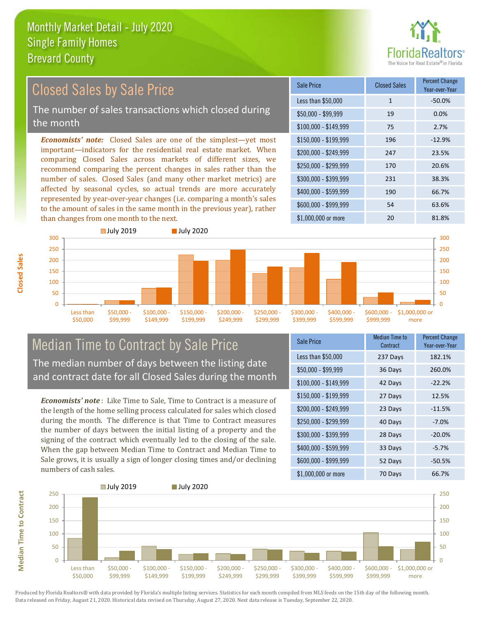

#### *Economists' note:* Closed Sales are one of the simplest—yet most important—indicators for the residential real estate market. When comparing Closed Sales across markets of different sizes, we recommend comparing the percent changes in sales rather than the number of sales. Closed Sales (and many other market metrics) are affected by seasonal cycles, so actual trends are more accurately represented by year-over-year changes (i.e. comparing a month's sales to the amount of sales in the same month in the previous year), rather than changes from one month to the next. \$1,000,000 or more 20 20 81.8% \$250,000 - \$299,999 170 20.6% \$300,000 - \$399,999 231 38.3% \$400,000 - \$599,999 190 66.7% \$600,000 - \$999,999 54 63.6% \$150,000 - \$199,999 196 -12.9% \$200,000 - \$249,999 247 23.5% \$100,000 - \$149,999 75 2.7% Sale Price Closed Sales Percent Change Year-over-Year Less than \$50,000 1 1 -50.0%  $$50,000 - $99,999$  19 0.0% Closed Sales by Sale Price The number of sales transactions which closed during the month



### Median Time to Contract by Sale Price The median number of days between the listing date and contract date for all Closed Sales during the month

*Economists' note* : Like Time to Sale, Time to Contract is a measure of the length of the home selling process calculated for sales which closed during the month. The difference is that Time to Contract measures the number of days between the initial listing of a property and the signing of the contract which eventually led to the closing of the sale. When the gap between Median Time to Contract and Median Time to Sale grows, it is usually a sign of longer closing times and/or declining numbers of cash sales.

| <b>Sale Price</b>     | <b>Median Time to</b><br>Contract | <b>Percent Change</b><br>Year-over-Year |
|-----------------------|-----------------------------------|-----------------------------------------|
| Less than \$50,000    | 237 Days                          | 182.1%                                  |
| $$50,000 - $99,999$   | 36 Days                           | 260.0%                                  |
| $$100,000 - $149,999$ | 42 Days                           | $-22.2%$                                |
| $$150,000 - $199,999$ | 27 Days                           | 12.5%                                   |
| \$200,000 - \$249,999 | 23 Days                           | $-11.5%$                                |
| \$250,000 - \$299,999 | 40 Days                           | $-7.0%$                                 |
| \$300,000 - \$399,999 | 28 Days                           | $-20.0%$                                |
| \$400,000 - \$599,999 | 33 Days                           | $-5.7%$                                 |
| \$600,000 - \$999,999 | 52 Days                           | $-50.5%$                                |
| \$1,000,000 or more   | 70 Days                           | 66.7%                                   |



Produced by Florida Realtors® with data provided by Florida's multiple listing services. Statistics for each month compiled from MLS feeds on the 15th day of the following month. Data released on Friday, August 21, 2020. Historical data revised on Thursday, August 27, 2020. Next data release is Tuesday, September 22, 2020.

**Median Time to Contract**

**Median Time to Contract**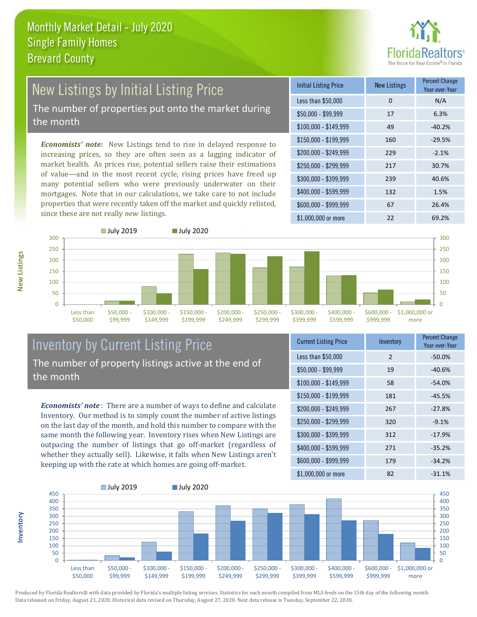

# New Listings by Initial Listing Price The number of properties put onto the market during

the month

*Economists' note:* New Listings tend to rise in delayed response to increasing prices, so they are often seen as a lagging indicator of market health. As prices rise, potential sellers raise their estimations of value—and in the most recent cycle, rising prices have freed up many potential sellers who were previously underwater on their mortgages. Note that in our calculations, we take care to not include properties that were recently taken off the market and quickly relisted, since these are not really *new* listings.

| <b>Initial Listing Price</b> | <b>New Listings</b> | <b>Percent Change</b><br>Year-over-Year |
|------------------------------|---------------------|-----------------------------------------|
| Less than \$50,000           | 0                   | N/A                                     |
| $$50,000 - $99,999$          | 17                  | 6.3%                                    |
| $$100,000 - $149,999$        | 49                  | $-40.2%$                                |
| $$150,000 - $199,999$        | 160                 | $-29.5%$                                |
| \$200,000 - \$249,999        | 229                 | $-2.1%$                                 |
| \$250,000 - \$299,999        | 217                 | 30.7%                                   |
| \$300,000 - \$399,999        | 239                 | 40.6%                                   |
| \$400,000 - \$599,999        | 132                 | 1.5%                                    |
| \$600,000 - \$999,999        | 67                  | 26.4%                                   |
| \$1,000,000 or more          | 22                  | 69.2%                                   |



#### Inventory by Current Listing Price The number of property listings active at the end of the month

*Economists' note* : There are a number of ways to define and calculate Inventory. Our method is to simply count the number of active listings on the last day of the month, and hold this number to compare with the same month the following year. Inventory rises when New Listings are outpacing the number of listings that go off-market (regardless of whether they actually sell). Likewise, it falls when New Listings aren't keeping up with the rate at which homes are going off-market.

| <b>Current Listing Price</b> | Inventory     | <b>Percent Change</b><br>Year-over-Year |
|------------------------------|---------------|-----------------------------------------|
| Less than \$50,000           | $\mathcal{P}$ | $-50.0%$                                |
| $$50,000 - $99,999$          | 19            | $-40.6%$                                |
| $$100,000 - $149,999$        | 58            | $-54.0%$                                |
| $$150,000 - $199,999$        | 181           | $-45.5%$                                |
| \$200,000 - \$249,999        | 267           | $-27.8%$                                |
| \$250,000 - \$299,999        | 320           | $-9.1%$                                 |
| \$300,000 - \$399,999        | 312           | $-17.9%$                                |
| \$400,000 - \$599,999        | 271           | $-35.2%$                                |
| \$600,000 - \$999,999        | 179           | $-34.2%$                                |
| \$1,000,000 or more          | 82            | $-31.1%$                                |



Produced by Florida Realtors® with data provided by Florida's multiple listing services. Statistics for each month compiled from MLS feeds on the 15th day of the following month. Data released on Friday, August 21, 2020. Historical data revised on Thursday, August 27, 2020. Next data release is Tuesday, September 22, 2020.

**Inventory**